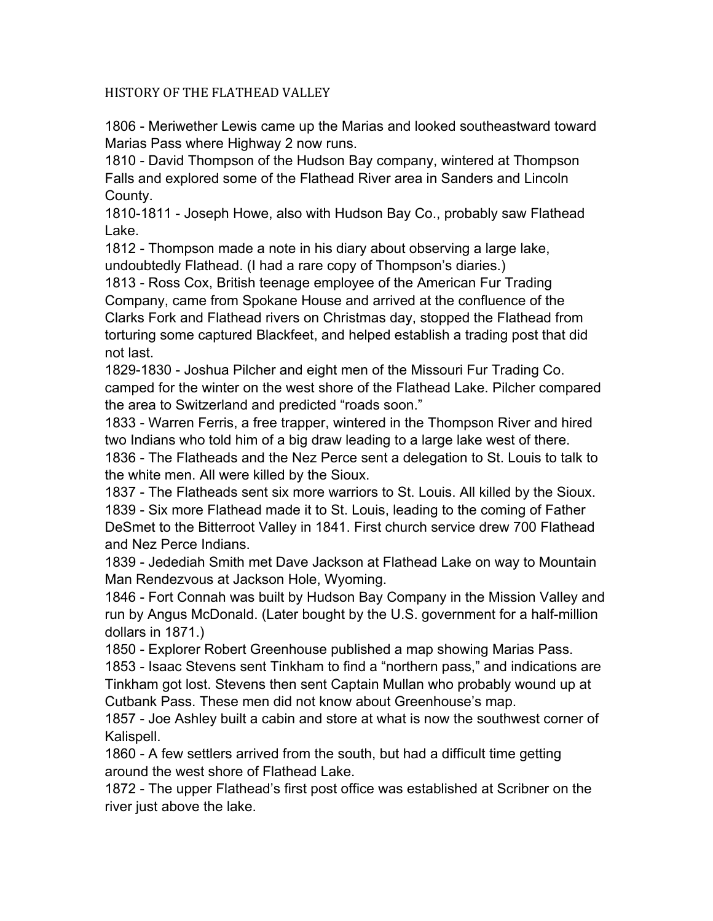## HISTORY OF THE FLATHEAD VALLEY

1806 - Meriwether Lewis came up the Marias and looked southeastward toward Marias Pass where Highway 2 now runs.

1810 - David Thompson of the Hudson Bay company, wintered at Thompson Falls and explored some of the Flathead River area in Sanders and Lincoln County.

1810-1811 - Joseph Howe, also with Hudson Bay Co., probably saw Flathead Lake.

1812 - Thompson made a note in his diary about observing a large lake, undoubtedly Flathead. (I had a rare copy of Thompson's diaries.)

1813 - Ross Cox, British teenage employee of the American Fur Trading Company, came from Spokane House and arrived at the confluence of the Clarks Fork and Flathead rivers on Christmas day, stopped the Flathead from torturing some captured Blackfeet, and helped establish a trading post that did not last.

1829-1830 - Joshua Pilcher and eight men of the Missouri Fur Trading Co. camped for the winter on the west shore of the Flathead Lake. Pilcher compared the area to Switzerland and predicted "roads soon."

1833 - Warren Ferris, a free trapper, wintered in the Thompson River and hired two Indians who told him of a big draw leading to a large lake west of there.

1836 - The Flatheads and the Nez Perce sent a delegation to St. Louis to talk to the white men. All were killed by the Sioux.

1837 - The Flatheads sent six more warriors to St. Louis. All killed by the Sioux. 1839 - Six more Flathead made it to St. Louis, leading to the coming of Father DeSmet to the Bitterroot Valley in 1841. First church service drew 700 Flathead and Nez Perce Indians.

1839 - Jedediah Smith met Dave Jackson at Flathead Lake on way to Mountain Man Rendezvous at Jackson Hole, Wyoming.

1846 - Fort Connah was built by Hudson Bay Company in the Mission Valley and run by Angus McDonald. (Later bought by the U.S. government for a half-million dollars in 1871.)

1850 - Explorer Robert Greenhouse published a map showing Marias Pass. 1853 - Isaac Stevens sent Tinkham to find a "northern pass," and indications are Tinkham got lost. Stevens then sent Captain Mullan who probably wound up at Cutbank Pass. These men did not know about Greenhouse's map.

1857 - Joe Ashley built a cabin and store at what is now the southwest corner of Kalispell.

1860 - A few settlers arrived from the south, but had a difficult time getting around the west shore of Flathead Lake.

1872 - The upper Flathead's first post office was established at Scribner on the river just above the lake.